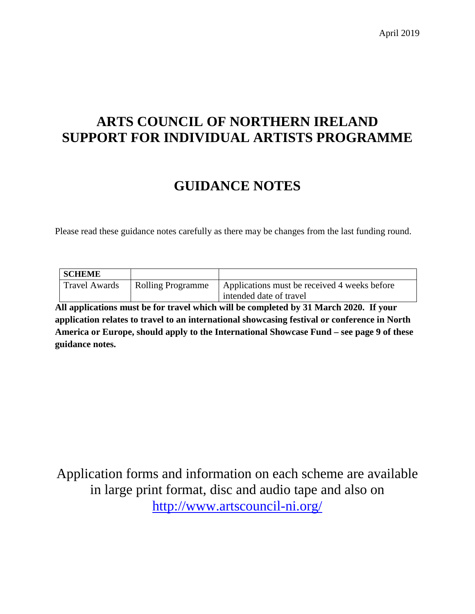April 2019

# **ARTS COUNCIL OF NORTHERN IRELAND SUPPORT FOR INDIVIDUAL ARTISTS PROGRAMME**

# **GUIDANCE NOTES**

Please read these guidance notes carefully as there may be changes from the last funding round.

| <b>SCHEME</b>        |                          |                                                                         |
|----------------------|--------------------------|-------------------------------------------------------------------------|
| <b>Travel Awards</b> | <b>Rolling Programme</b> | Applications must be received 4 weeks before<br>intended date of travel |

**All applications must be for travel which will be completed by 31 March 2020. If your application relates to travel to an international showcasing festival or conference in North America or Europe, should apply to the International Showcase Fund – see page 9 of these guidance notes.** 

Application forms and information on each scheme are available in large print format, disc and audio tape and also on <http://www.artscouncil-ni.org/>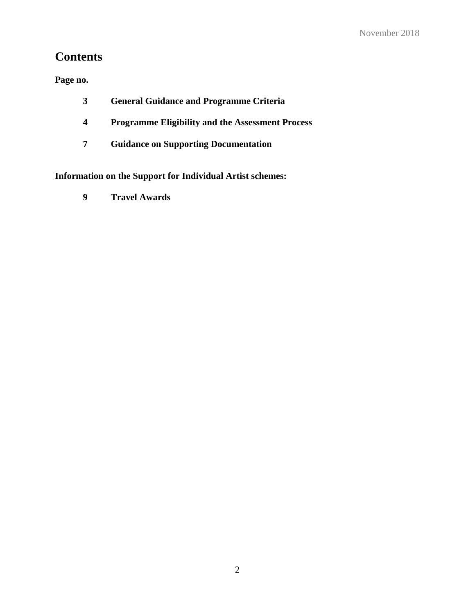# **Contents**

**Page no.**

- **3 General Guidance and Programme Criteria**
- **4 Programme Eligibility and the Assessment Process**
- **7 Guidance on Supporting Documentation**

**Information on the Support for Individual Artist schemes:**

**9 Travel Awards**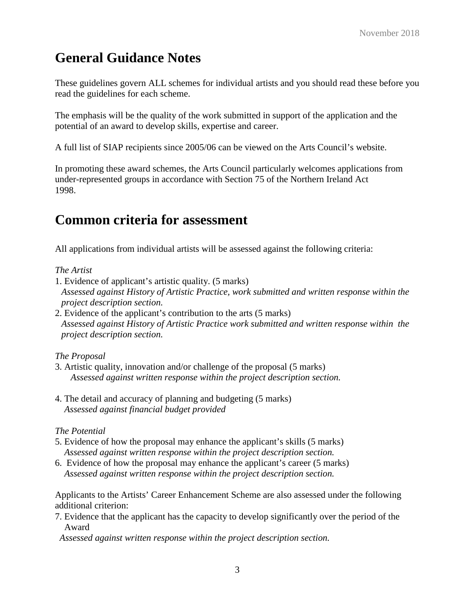# **General Guidance Notes**

These guidelines govern ALL schemes for individual artists and you should read these before you read the guidelines for each scheme.

The emphasis will be the quality of the work submitted in support of the application and the potential of an award to develop skills, expertise and career.

A full list of SIAP recipients since 2005/06 can be viewed on the Arts Council's website.

In promoting these award schemes, the Arts Council particularly welcomes applications from under-represented groups in accordance with Section 75 of the Northern Ireland Act 1998.

# **Common criteria for assessment**

All applications from individual artists will be assessed against the following criteria:

#### *The Artist*

- 1. Evidence of applicant's artistic quality. (5 marks) *Assessed against History of Artistic Practice, work submitted and written response within the project description section.*
- 2. Evidence of the applicant's contribution to the arts (5 marks) *Assessed against History of Artistic Practice work submitted and written response within the project description section.*

#### *The Proposal*

- 3. Artistic quality, innovation and/or challenge of the proposal (5 marks) *Assessed against written response within the project description section.*
- 4. The detail and accuracy of planning and budgeting (5 marks) *Assessed against financial budget provided*

#### *The Potential*

- 5. Evidence of how the proposal may enhance the applicant's skills (5 marks) *Assessed against written response within the project description section.*
- 6. Evidence of how the proposal may enhance the applicant's career (5 marks)  *Assessed against written response within the project description section.*

Applicants to the Artists' Career Enhancement Scheme are also assessed under the following additional criterion:

7. Evidence that the applicant has the capacity to develop significantly over the period of the Award

 *Assessed against written response within the project description section.*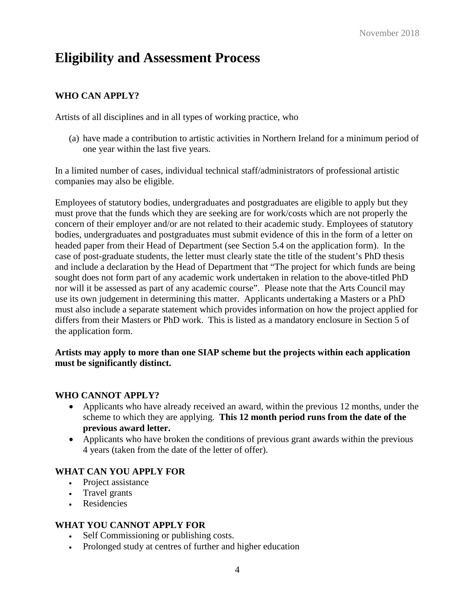# **Eligibility and Assessment Process**

# **WHO CAN APPLY?**

Artists of all disciplines and in all types of working practice, who

(a) have made a contribution to artistic activities in Northern Ireland for a minimum period of one year within the last five years.

In a limited number of cases, individual technical staff/administrators of professional artistic companies may also be eligible.

Employees of statutory bodies, undergraduates and postgraduates are eligible to apply but they must prove that the funds which they are seeking are for work/costs which are not properly the concern of their employer and/or are not related to their academic study. Employees of statutory bodies, undergraduates and postgraduates must submit evidence of this in the form of a letter on headed paper from their Head of Department (see Section 5.4 on the application form). In the case of post-graduate students, the letter must clearly state the title of the student's PhD thesis and include a declaration by the Head of Department that "The project for which funds are being sought does not form part of any academic work undertaken in relation to the above-titled PhD nor will it be assessed as part of any academic course". Please note that the Arts Council may use its own judgement in determining this matter. Applicants undertaking a Masters or a PhD must also include a separate statement which provides information on how the project applied for differs from their Masters or PhD work. This is listed as a mandatory enclosure in Section 5 of the application form.

#### **Artists may apply to more than one SIAP scheme but the projects within each application must be significantly distinct.**

#### **WHO CANNOT APPLY?**

- Applicants who have already received an award, within the previous 12 months, under the scheme to which they are applying. **This 12 month period runs from the date of the previous award letter.**
- Applicants who have broken the conditions of previous grant awards within the previous 4 years (taken from the date of the letter of offer).

#### **WHAT CAN YOU APPLY FOR**

- Project assistance
- Travel grants
- Residencies

#### **WHAT YOU CANNOT APPLY FOR**

- Self Commissioning or publishing costs.
- Prolonged study at centres of further and higher education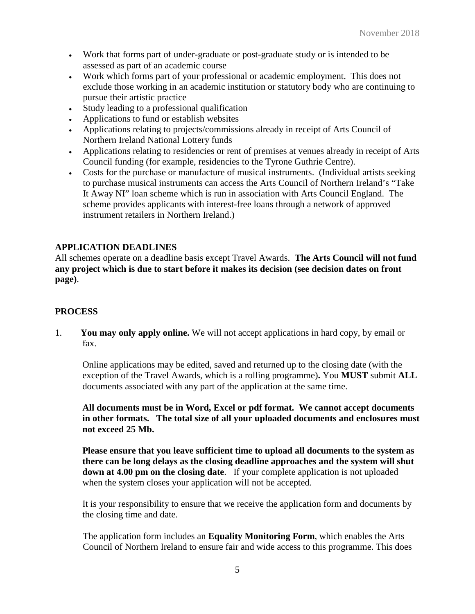- Work that forms part of under-graduate or post-graduate study or is intended to be assessed as part of an academic course
- Work which forms part of your professional or academic employment. This does not exclude those working in an academic institution or statutory body who are continuing to pursue their artistic practice
- Study leading to a professional qualification
- Applications to fund or establish websites
- Applications relating to projects/commissions already in receipt of Arts Council of Northern Ireland National Lottery funds
- Applications relating to residencies or rent of premises at venues already in receipt of Arts Council funding (for example, residencies to the Tyrone Guthrie Centre).
- Costs for the purchase or manufacture of musical instruments. (Individual artists seeking to purchase musical instruments can access the Arts Council of Northern Ireland's "Take It Away NI" loan scheme which is run in association with Arts Council England. The scheme provides applicants with interest-free loans through a network of approved instrument retailers in Northern Ireland.)

### **APPLICATION DEADLINES**

All schemes operate on a deadline basis except Travel Awards. **The Arts Council will not fund any project which is due to start before it makes its decision (see decision dates on front page)**.

#### **PROCESS**

1. **You may only apply online.** We will not accept applications in hard copy, by email or fax.

Online applications may be edited, saved and returned up to the closing date (with the exception of the Travel Awards, which is a rolling programme)**.** You **MUST** submit **ALL** documents associated with any part of the application at the same time.

**All documents must be in Word, Excel or pdf format. We cannot accept documents in other formats. The total size of all your uploaded documents and enclosures must not exceed 25 Mb.**

**Please ensure that you leave sufficient time to upload all documents to the system as there can be long delays as the closing deadline approaches and the system will shut down at 4.00 pm on the closing date**. If your complete application is not uploaded when the system closes your application will not be accepted.

It is your responsibility to ensure that we receive the application form and documents by the closing time and date.

The application form includes an **Equality Monitoring Form**, which enables the Arts Council of Northern Ireland to ensure fair and wide access to this programme. This does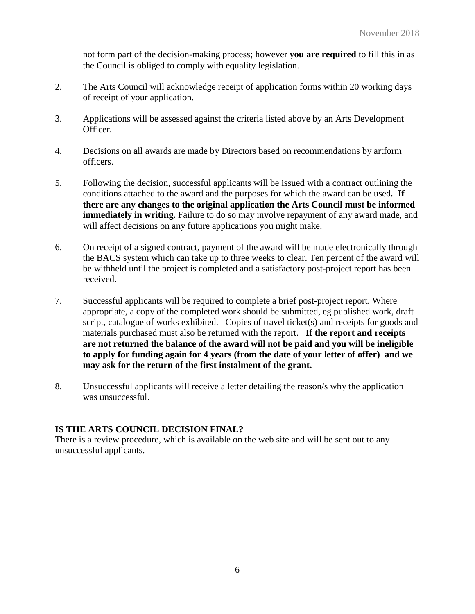not form part of the decision-making process; however **you are required** to fill this in as the Council is obliged to comply with equality legislation.

- 2. The Arts Council will acknowledge receipt of application forms within 20 working days of receipt of your application.
- 3. Applications will be assessed against the criteria listed above by an Arts Development Officer.
- 4. Decisions on all awards are made by Directors based on recommendations by artform officers.
- 5. Following the decision, successful applicants will be issued with a contract outlining the conditions attached to the award and the purposes for which the award can be used*.* **If there are any changes to the original application the Arts Council must be informed immediately in writing.** Failure to do so may involve repayment of any award made, and will affect decisions on any future applications you might make.
- 6. On receipt of a signed contract, payment of the award will be made electronically through the BACS system which can take up to three weeks to clear. Ten percent of the award will be withheld until the project is completed and a satisfactory post-project report has been received.
- 7. Successful applicants will be required to complete a brief post-project report. Where appropriate, a copy of the completed work should be submitted, eg published work, draft script, catalogue of works exhibited. Copies of travel ticket(s) and receipts for goods and materials purchased must also be returned with the report. **If the report and receipts are not returned the balance of the award will not be paid and you will be ineligible to apply for funding again for 4 years (from the date of your letter of offer) and we may ask for the return of the first instalment of the grant.**
- 8. Unsuccessful applicants will receive a letter detailing the reason/s why the application was unsuccessful.

#### **IS THE ARTS COUNCIL DECISION FINAL?**

There is a review procedure, which is available on the web site and will be sent out to any unsuccessful applicants.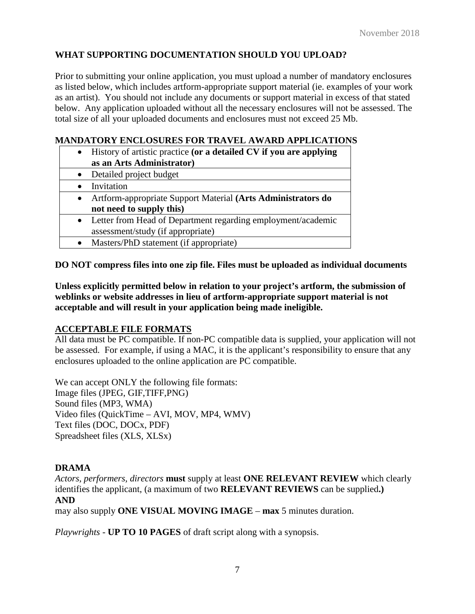# **WHAT SUPPORTING DOCUMENTATION SHOULD YOU UPLOAD?**

Prior to submitting your online application, you must upload a number of mandatory enclosures as listed below, which includes artform-appropriate support material (ie. examples of your work as an artist). You should not include any documents or support material in excess of that stated below. Any application uploaded without all the necessary enclosures will not be assessed. The total size of all your uploaded documents and enclosures must not exceed 25 Mb.

#### **MANDATORY ENCLOSURES FOR TRAVEL AWARD APPLICATIONS**

- History of artistic practice **(or a detailed CV if you are applying as an Arts Administrator)**
- Detailed project budget • Invitation • Artform-appropriate Support Material **(Arts Administrators do not need to supply this)** • Letter from Head of Department regarding employment/academic assessment/study (if appropriate)
- Masters/PhD statement (if appropriate)

**DO NOT compress files into one zip file. Files must be uploaded as individual documents**

**acceptable and will result in your application being made ineligible.** 

**Unless explicitly permitted below in relation to your project's artform, the submission of weblinks or website addresses in lieu of artform-appropriate support material is not** 

#### **ACCEPTABLE FILE FORMATS**

All data must be PC compatible. If non-PC compatible data is supplied, your application will not be assessed. For example, if using a MAC, it is the applicant's responsibility to ensure that any enclosures uploaded to the online application are PC compatible.

We can accept ONLY the following file formats: Image files (JPEG, GIF,TIFF,PNG) Sound files (MP3, WMA) Video files (QuickTime – AVI, MOV, MP4, WMV) Text files (DOC, DOCx, PDF) Spreadsheet files (XLS, XLSx)

#### **DRAMA**

*Actors, performers, directors* **must** supply at least **ONE RELEVANT REVIEW** which clearly identifies the applicant, (a maximum of two **RELEVANT REVIEWS** can be supplied**.) AND** 

may also supply **ONE VISUAL MOVING IMAGE** – **max** 5 minutes duration.

*Playwrights* - **UP TO 10 PAGES** of draft script along with a synopsis.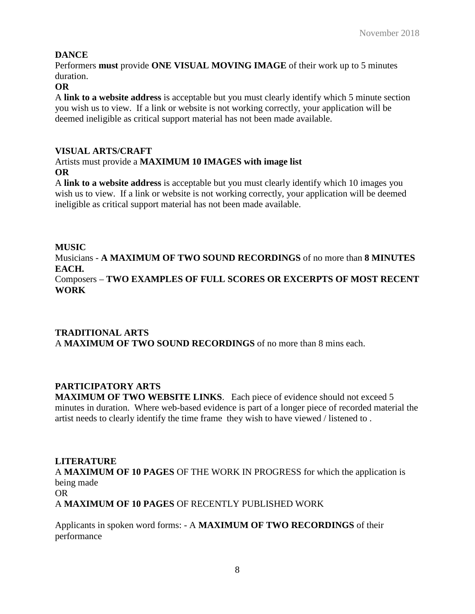# **DANCE**

Performers **must** provide **ONE VISUAL MOVING IMAGE** of their work up to 5 minutes duration.

#### **OR**

A **link to a website address** is acceptable but you must clearly identify which 5 minute section you wish us to view. If a link or website is not working correctly, your application will be deemed ineligible as critical support material has not been made available.

### **VISUAL ARTS/CRAFT**

#### Artists must provide a **MAXIMUM 10 IMAGES with image list OR**

A **link to a website address** is acceptable but you must clearly identify which 10 images you wish us to view. If a link or website is not working correctly, your application will be deemed ineligible as critical support material has not been made available.

# **MUSIC**

Musicians - **A MAXIMUM OF TWO SOUND RECORDINGS** of no more than **8 MINUTES EACH.**  Composers – **TWO EXAMPLES OF FULL SCORES OR EXCERPTS OF MOST RECENT WORK**

### **TRADITIONAL ARTS** A **MAXIMUM OF TWO SOUND RECORDINGS** of no more than 8 mins each.

# **PARTICIPATORY ARTS**

**MAXIMUM OF TWO WEBSITE LINKS**. Each piece of evidence should not exceed 5 minutes in duration. Where web-based evidence is part of a longer piece of recorded material the artist needs to clearly identify the time frame they wish to have viewed / listened to .

# **LITERATURE**

A **MAXIMUM OF 10 PAGES** OF THE WORK IN PROGRESS for which the application is being made

OR

A **MAXIMUM OF 10 PAGES** OF RECENTLY PUBLISHED WORK

Applicants in spoken word forms: - A **MAXIMUM OF TWO RECORDINGS** of their performance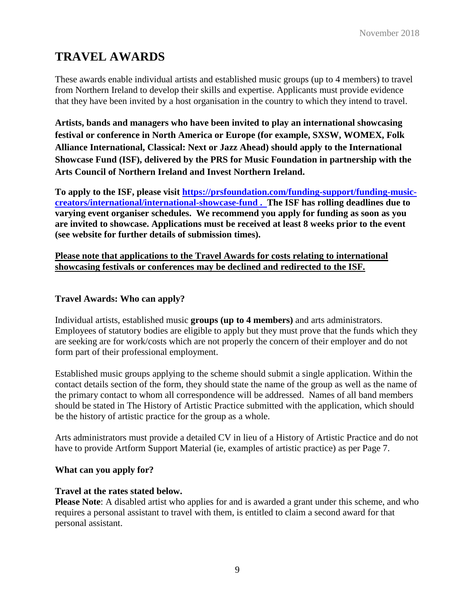# **TRAVEL AWARDS**

These awards enable individual artists and established music groups (up to 4 members) to travel from Northern Ireland to develop their skills and expertise. Applicants must provide evidence that they have been invited by a host organisation in the country to which they intend to travel.

**Artists, bands and managers who have been invited to play an international showcasing festival or conference in North America or Europe (for example, SXSW, WOMEX, Folk Alliance International, Classical: Next or Jazz Ahead) should apply to the International Showcase Fund (ISF), delivered by the PRS for Music Foundation in partnership with the Arts Council of Northern Ireland and Invest Northern Ireland.**

**To apply to the ISF, please visit [https://prsfoundation.com/funding-support/funding-music](https://prsfoundation.com/funding-support/funding-music-creators/international/international-showcase-fund)[creators/international/international-showcase-fund](https://prsfoundation.com/funding-support/funding-music-creators/international/international-showcase-fund) . The ISF has rolling deadlines due to varying event organiser schedules. We recommend you apply for funding as soon as you are invited to showcase. Applications must be received at least 8 weeks prior to the event (see website for further details of submission times).** 

#### **Please note that applications to the Travel Awards for costs relating to international showcasing festivals or conferences may be declined and redirected to the ISF.**

#### **Travel Awards: Who can apply?**

Individual artists, established music **groups (up to 4 members)** and arts administrators. Employees of statutory bodies are eligible to apply but they must prove that the funds which they are seeking are for work/costs which are not properly the concern of their employer and do not form part of their professional employment.

Established music groups applying to the scheme should submit a single application. Within the contact details section of the form, they should state the name of the group as well as the name of the primary contact to whom all correspondence will be addressed. Names of all band members should be stated in The History of Artistic Practice submitted with the application, which should be the history of artistic practice for the group as a whole.

Arts administrators must provide a detailed CV in lieu of a History of Artistic Practice and do not have to provide Artform Support Material (ie, examples of artistic practice) as per Page 7.

#### **What can you apply for?**

#### **Travel at the rates stated below.**

**Please Note**: A disabled artist who applies for and is awarded a grant under this scheme, and who requires a personal assistant to travel with them, is entitled to claim a second award for that personal assistant.